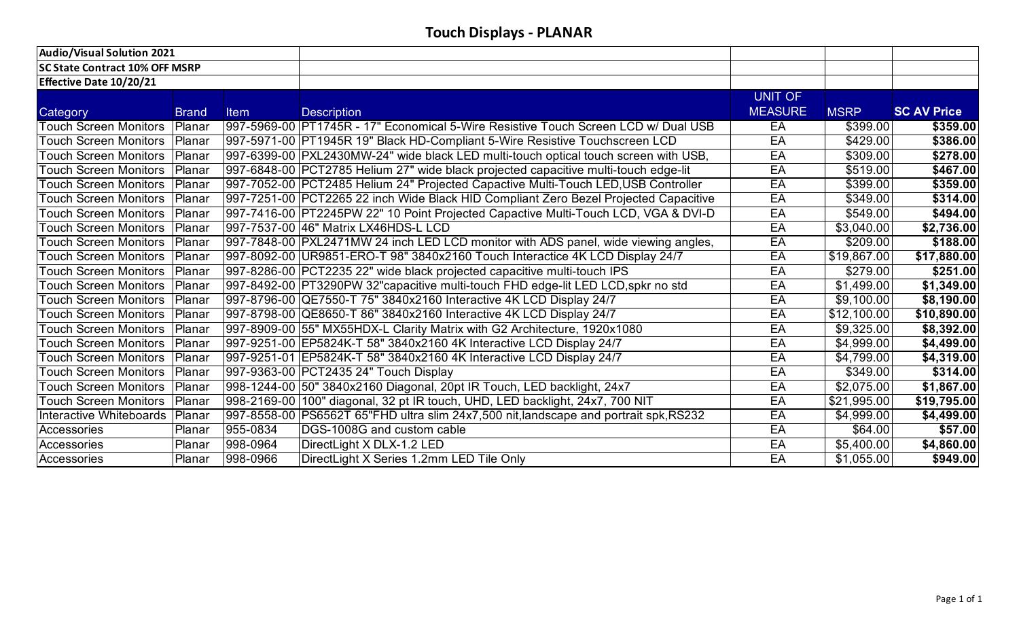| Audio/Visual Solution 2021            |              |          |                                                                                      |                |             |                    |
|---------------------------------------|--------------|----------|--------------------------------------------------------------------------------------|----------------|-------------|--------------------|
| <b>SC State Contract 10% OFF MSRP</b> |              |          |                                                                                      |                |             |                    |
| <b>Effective Date 10/20/21</b>        |              |          |                                                                                      |                |             |                    |
|                                       |              |          |                                                                                      | <b>UNIT OF</b> |             |                    |
| Category                              | <b>Brand</b> | Item     | <b>Description</b>                                                                   | <b>MEASURE</b> | <b>MSRP</b> | <b>SC AV Price</b> |
| <b>Touch Screen Monitors</b>          | Planar       |          | 997-5969-00 PFT1745R - 17" Economical 5-Wire Resistive Touch Screen LCD w/ Dual USB  | EA             | \$399.00    | \$359.00           |
| <b>Touch Screen Monitors</b>          | Planar       |          | 997-5971-00 PT1945R 19" Black HD-Compliant 5-Wire Resistive Touchscreen LCD          | EA             | \$429.00    | \$386.00           |
| <b>Touch Screen Monitors</b>          | Planar       |          | 997-6399-00 PXL2430MW-24" wide black LED multi-touch optical touch screen with USB,  | EA             | \$309.00    | \$278.00           |
| <b>Touch Screen Monitors</b>          | Planar       |          | 997-6848-00 PCT2785 Helium 27" wide black projected capacitive multi-touch edge-lit  | EA             | \$519.00    | \$467.00           |
| <b>Touch Screen Monitors</b>          | Planar       |          | 997-7052-00 PCT2485 Helium 24" Projected Capactive Multi-Touch LED, USB Controller   | EA             | \$399.00    | \$359.00           |
| <b>Touch Screen Monitors</b>          | Planar       |          | 997-7251-00 PCT2265 22 inch Wide Black HID Compliant Zero Bezel Projected Capacitive | EA             | \$349.00    | \$314.00           |
| <b>Touch Screen Monitors</b>          | Planar       |          | 997-7416-00 PT2245PW 22" 10 Point Projected Capactive Multi-Touch LCD, VGA & DVI-D   | EA             | \$549.00    | \$494.00           |
| <b>Touch Screen Monitors</b>          | Planar       |          | 997-7537-00 46" Matrix LX46HDS-L LCD                                                 | EA             | \$3,040.00  | \$2,736.00         |
| <b>Touch Screen Monitors</b>          | Planar       |          | 997-7848-00 PXL2471MW 24 inch LED LCD monitor with ADS panel, wide viewing angles,   | EA             | \$209.00    | \$188.00           |
| <b>Touch Screen Monitors</b>          | Planar       |          | 997-8092-00 UR9851-ERO-T 98" 3840x2160 Touch Interactice 4K LCD Display 24/7         | EA             | \$19,867.00 | \$17,880.00        |
| <b>Touch Screen Monitors</b>          | Planar       |          | 997-8286-00 PCT2235 22" wide black projected capacitive multi-touch IPS              | EA             | \$279.00    | \$251.00           |
| <b>Touch Screen Monitors</b>          | Planar       |          | 997-8492-00 PT3290PW 32"capacitive multi-touch FHD edge-lit LED LCD, spkr no std     | EA             | \$1,499.00  | \$1,349.00         |
| <b>Touch Screen Monitors</b>          | Planar       |          | 997-8796-00 QE7550-T 75" 3840x2160 Interactive 4K LCD Display 24/7                   | EA             | \$9,100.00  | \$8,190.00         |
| <b>Touch Screen Monitors</b>          | Planar       |          | 997-8798-00 QE8650-T 86" 3840x2160 Interactive 4K LCD Display 24/7                   | EA             | \$12,100.00 | \$10,890.00        |
| <b>Touch Screen Monitors</b>          | Planar       |          | 997-8909-00 55" MX55HDX-L Clarity Matrix with G2 Architecture, 1920x1080             | EA             | \$9,325.00  | \$8,392.00         |
| <b>Touch Screen Monitors</b>          | Planar       |          | 997-9251-00 EP5824K-T 58" 3840x2160 4K Interactive LCD Display 24/7                  | EA             | \$4,999.00  | \$4,499.00         |
| <b>Touch Screen Monitors</b>          | Planar       |          | 997-9251-01 EP5824K-T 58" 3840x2160 4K Interactive LCD Display 24/7                  | EA             | \$4,799.00  | \$4,319.00         |
| <b>Touch Screen Monitors</b>          | Planar       |          | 997-9363-00 PCT2435 24" Touch Display                                                | EA             | \$349.00    | \$314.00           |
| <b>Touch Screen Monitors</b>          | Planar       |          | 998-1244-00 50" 3840x2160 Diagonal, 20pt IR Touch, LED backlight, 24x7               | EA             | \$2,075.00  | \$1,867.00         |
| <b>Touch Screen Monitors</b>          | Planar       |          | 998-2169-00 100" diagonal, 32 pt IR touch, UHD, LED backlight, 24x7, 700 NIT         | EA             | \$21,995.00 | \$19,795.00        |
| Interactive Whiteboards               | Planar       |          | 997-8558-00 PS6562T 65"FHD ultra slim 24x7,500 nit,landscape and portrait spk, RS232 | EA             | \$4,999.00  | \$4,499.00         |
| Accessories                           | Planar       | 955-0834 | DGS-1008G and custom cable                                                           | EA             | \$64.00     | \$57.00            |
| Accessories                           | Planar       | 998-0964 | DirectLight X DLX-1.2 LED                                                            | EA             | \$5,400.00  | \$4,860.00         |
| Accessories                           | Planar       | 998-0966 | DirectLight X Series 1.2mm LED Tile Only                                             | EA             | \$1,055.00  | \$949.00           |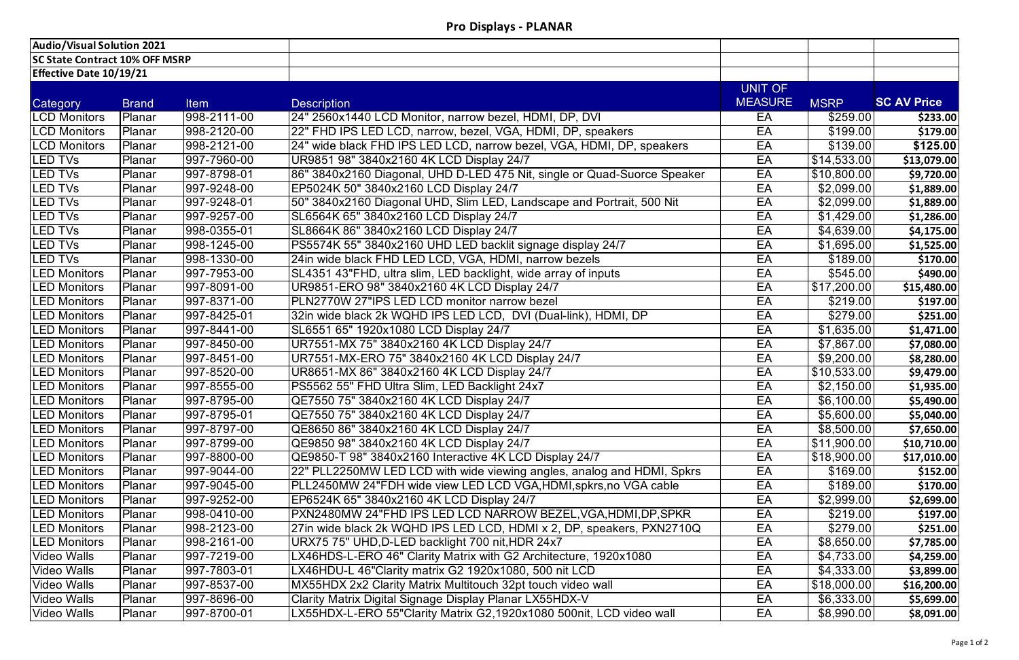| <b>Audio/Visual Solution 2021</b>     |               |             |                                                                          |                |                         |                    |
|---------------------------------------|---------------|-------------|--------------------------------------------------------------------------|----------------|-------------------------|--------------------|
| <b>SC State Contract 10% OFF MSRP</b> |               |             |                                                                          |                |                         |                    |
| <b>Effective Date 10/19/21</b>        |               |             |                                                                          |                |                         |                    |
|                                       |               |             |                                                                          | UNIT OF        |                         |                    |
| Category                              | <b>Brand</b>  | <b>Item</b> | <b>Description</b>                                                       | <b>MEASURE</b> | <b>MSRP</b>             | <b>SC AV Price</b> |
| <b>LCD Monitors</b>                   | Planar        | 998-2111-00 | 24" 2560x1440 LCD Monitor, narrow bezel, HDMI, DP, DVI                   | EA             | \$259.00                | \$233.00           |
| <b>LCD Monitors</b>                   | <b>Planar</b> | 998-2120-00 | 22" FHD IPS LED LCD, narrow, bezel, VGA, HDMI, DP, speakers              | EA             | \$199.00                | \$179.00           |
| <b>LCD Monitors</b>                   | Planar        | 998-2121-00 | 24" wide black FHD IPS LED LCD, narrow bezel, VGA, HDMI, DP, speakers    | EA             | \$139.00                | \$125.00           |
| <b>LED TVs</b>                        | Planar        | 997-7960-00 | UR9851 98" 3840x2160 4K LCD Display 24/7                                 | EA             | \$14,533.00             | \$13,079.00        |
| <b>LED TVs</b>                        | Planar        | 997-8798-01 | 86" 3840x2160 Diagonal, UHD D-LED 475 Nit, single or Quad-Suorce Speaker | EA             | \$10,800.00             | \$9,720.00         |
| <b>LED TVs</b>                        | <b>Planar</b> | 997-9248-00 | EP5024K 50" 3840x2160 LCD Display 24/7                                   | EA             | \$2,099.00              | \$1,889.00         |
| <b>LED TVs</b>                        | Planar        | 997-9248-01 | 50" 3840x2160 Diagonal UHD, Slim LED, Landscape and Portrait, 500 Nit    | EA             | \$2,099.00              | \$1,889.00         |
| <b>LED TVs</b>                        | <b>Planar</b> | 997-9257-00 | SL6564K 65" 3840x2160 LCD Display 24/7                                   | EA             | \$1,429.00              | \$1,286.00         |
| <b>LED TVs</b>                        | Planar        | 998-0355-01 | SL8664K 86" 3840x2160 LCD Display 24/7                                   | EA             | \$4,639.00              | \$4,175.00         |
| <b>LED TVs</b>                        | Planar        | 998-1245-00 | PS5574K 55" 3840x2160 UHD LED backlit signage display 24/7               | EA             | \$1,695.00              | \$1,525.00         |
| <b>LED TVs</b>                        | <b>Planar</b> | 998-1330-00 | 24in wide black FHD LED LCD, VGA, HDMI, narrow bezels                    | EA             | \$189.00                | \$170.00           |
| <b>LED Monitors</b>                   | Planar        | 997-7953-00 | SL4351 43"FHD, ultra slim, LED backlight, wide array of inputs           | EA             | \$545.00                | \$490.00           |
| <b>LED Monitors</b>                   | <b>Planar</b> | 997-8091-00 | UR9851-ERO 98" 3840x2160 4K LCD Display 24/7                             | EA             | $\overline{$17,200.00}$ | \$15,480.00        |
| <b>LED Monitors</b>                   | <b>Planar</b> | 997-8371-00 | PLN2770W 27"IPS LED LCD monitor narrow bezel                             | EA             | \$219.00                | \$197.00           |
| <b>LED Monitors</b>                   | Planar        | 997-8425-01 | 32in wide black 2k WQHD IPS LED LCD, DVI (Dual-link), HDMI, DP           | EA             | \$279.00                | \$251.00           |
| <b>LED Monitors</b>                   | Planar        | 997-8441-00 | SL6551 65" 1920x1080 LCD Display 24/7                                    | EA             | \$1,635.00              | \$1,471.00         |
| <b>LED Monitors</b>                   | <b>Planar</b> | 997-8450-00 | UR7551-MX 75" 3840x2160 4K LCD Display 24/7                              | EA             | \$7,867.00              | \$7,080.00         |
| <b>LED Monitors</b>                   | Planar        | 997-8451-00 | UR7551-MX-ERO 75" 3840x2160 4K LCD Display 24/7                          | EA             | \$9,200.00              | \$8,280.00         |
| <b>LED Monitors</b>                   | <b>Planar</b> | 997-8520-00 | UR8651-MX 86" 3840x2160 4K LCD Display 24/7                              | EA             | \$10,533.00             | \$9,479.00         |
| <b>LED Monitors</b>                   | Planar        | 997-8555-00 | PS5562 55" FHD Ultra Slim, LED Backlight 24x7                            | EA             | \$2,150.00              | \$1,935.00         |
| <b>LED Monitors</b>                   | Planar        | 997-8795-00 | QE7550 75" 3840x2160 4K LCD Display 24/7                                 | EA             | \$6,100.00]             | \$5,490.00         |
| <b>LED Monitors</b>                   | <b>Planar</b> | 997-8795-01 | QE7550 75" 3840x2160 4K LCD Display 24/7                                 | EA             | \$5,600.00              | \$5,040.00         |
| <b>LED Monitors</b>                   | <b>Planar</b> | 997-8797-00 | QE8650 86" 3840x2160 4K LCD Display 24/7                                 | EA             | \$8,500.00              | \$7,650.00         |
| <b>LED Monitors</b>                   | Planar        | 997-8799-00 | QE9850 98" 3840x2160 4K LCD Display 24/7                                 | EA             | \$11,900.00             | \$10,710.00        |
| <b>LED Monitors</b>                   | <b>Planar</b> | 997-8800-00 | QE9850-T 98" 3840x2160 Interactive 4K LCD Display 24/7                   | EA             | \$18,900.00             | \$17,010.00        |
| <b>LED Monitors</b>                   | <b>Planar</b> | 997-9044-00 | 22" PLL2250MW LED LCD with wide viewing angles, analog and HDMI, Spkrs   | EA             | \$169.00                | \$152.00           |
| <b>LED Monitors</b>                   | <b>Planar</b> | 997-9045-00 | PLL2450MW 24"FDH wide view LED LCD VGA, HDMI, spkrs, no VGA cable        | EA             | \$189.00                | \$170.00           |
| <b>LED Monitors</b>                   | Planar        | 997-9252-00 | EP6524K 65" 3840x2160 4K LCD Display 24/7                                | EA             | \$2,999.00              | \$2,699.00         |
| <b>LED Monitors</b>                   | <b>Planar</b> | 998-0410-00 | PXN2480MW 24"FHD IPS LED LCD NARROW BEZEL, VGA, HDMI, DP, SPKR           | EA             | \$219.00                | \$197.00           |
| <b>LED Monitors</b>                   | <b>Planar</b> | 998-2123-00 | 27in wide black 2k WQHD IPS LED LCD, HDMI x 2, DP, speakers, PXN2710Q    | EA             | \$279.00                | \$251.00           |
| <b>LED Monitors</b>                   | Planar        | 998-2161-00 | URX75 75" UHD,D-LED backlight 700 nit,HDR 24x7                           | EA             | \$8,650.00              | \$7,785.00         |
| <b>Video Walls</b>                    | <b>Planar</b> | 997-7219-00 | LX46HDS-L-ERO 46" Clarity Matrix with G2 Architecture, 1920x1080         | EA             | \$4,733.00              | \$4,259.00         |
| <b>Video Walls</b>                    | Planar        | 997-7803-01 | LX46HDU-L 46"Clarity matrix G2 1920x1080, 500 nit LCD                    | EA             | \$4,333.00              | \$3,899.00         |
| <b>Video Walls</b>                    | Planar        | 997-8537-00 | MX55HDX 2x2 Clarity Matrix Multitouch 32pt touch video wall              | EA             | \$18,000.00             | \$16,200.00        |
| <b>Video Walls</b>                    | <b>Planar</b> | 997-8696-00 | Clarity Matrix Digital Signage Display Planar LX55HDX-V                  | EA             | \$6,333.00              | \$5,699.00         |
| <b>Video Walls</b>                    | Planar        | 997-8700-01 | LX55HDX-L-ERO 55"Clarity Matrix G2,1920x1080 500nit, LCD video wall      | EA             | \$8,990.00              | \$8,091.00         |